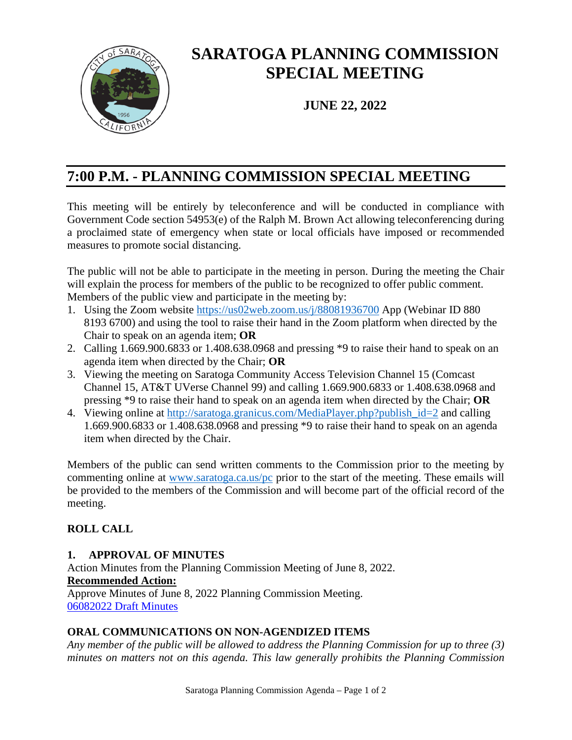

# **SARATOGA PLANNING COMMISSION SPECIAL MEETING**

**JUNE 22, 2022**

# **7:00 P.M. - PLANNING COMMISSION SPECIAL MEETING**

This meeting will be entirely by teleconference and will be conducted in compliance with Government Code section 54953(e) of the Ralph M. Brown Act allowing teleconferencing during a proclaimed state of emergency when state or local officials have imposed or recommended measures to promote social distancing.

The public will not be able to participate in the meeting in person. During the meeting the Chair will explain the process for members of the public to be recognized to offer public comment. Members of the public view and participate in the meeting by:

- 1. Using the Zoom website <https://us02web.zoom.us/j/88081936700> App (Webinar ID 880 8193 6700) and using the tool to raise their hand in the Zoom platform when directed by the Chair to speak on an agenda item; **OR**
- 2. Calling 1.669.900.6833 or 1.408.638.0968 and pressing \*9 to raise their hand to speak on an agenda item when directed by the Chair; **OR**
- 3. Viewing the meeting on Saratoga Community Access Television Channel 15 (Comcast Channel 15, AT&T UVerse Channel 99) and calling 1.669.900.6833 or 1.408.638.0968 and pressing \*9 to raise their hand to speak on an agenda item when directed by the Chair; **OR**
- 4. Viewing online at [http://saratoga.granicus.com/MediaPlayer.php?publish\\_id=2](http://saratoga.granicus.com/MediaPlayer.php?publish_id=2) and calling 1.669.900.6833 or 1.408.638.0968 and pressing \*9 to raise their hand to speak on an agenda item when directed by the Chair.

Members of the public can send written comments to the Commission prior to the meeting by commenting online at [www.saratoga.ca.us/pc](http://www.saratoga.ca.us/pc) prior to the start of the meeting. These emails will be provided to the members of the Commission and will become part of the official record of the meeting.

# **ROLL CALL**

# **1. APPROVAL OF MINUTES**

Action Minutes from the Planning Commission Meeting of June 8, 2022. **Recommended Action:** Approve Minutes of June 8, 2022 Planning Commission Meeting. [06082022 Draft Minutes](https://legistarweb-production.s3.amazonaws.com/uploads/attachment/pdf/1430261/06082022_PC_minutes_-_draft.pdf) 

# **ORAL COMMUNICATIONS ON NON-AGENDIZED ITEMS**

*Any member of the public will be allowed to address the Planning Commission for up to three (3) minutes on matters not on this agenda. This law generally prohibits the Planning Commission*